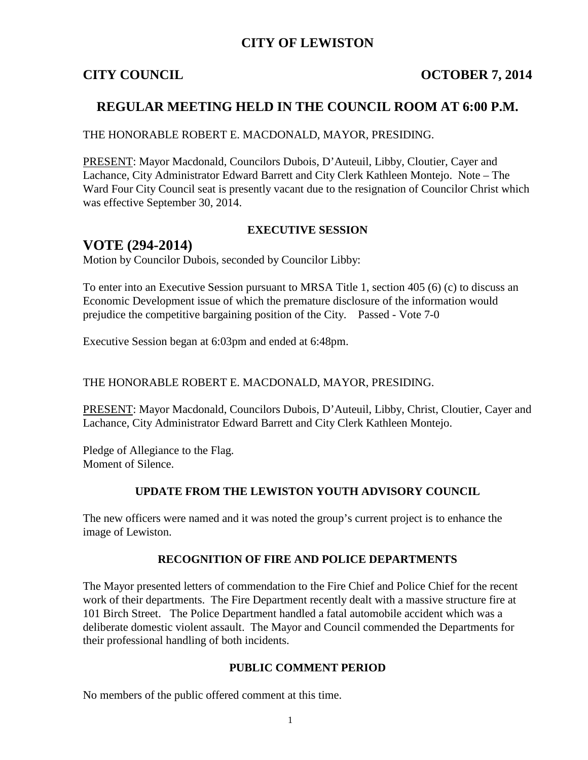## **CITY OF LEWISTON**

## **CITY COUNCIL COUNCIL COUNCIL COUNCIL COUNCIL**

## **REGULAR MEETING HELD IN THE COUNCIL ROOM AT 6:00 P.M.**

#### THE HONORABLE ROBERT E. MACDONALD, MAYOR, PRESIDING.

PRESENT: Mayor Macdonald, Councilors Dubois, D'Auteuil, Libby, Cloutier, Cayer and Lachance, City Administrator Edward Barrett and City Clerk Kathleen Montejo. Note – The Ward Four City Council seat is presently vacant due to the resignation of Councilor Christ which was effective September 30, 2014.

#### **EXECUTIVE SESSION**

# **VOTE (294-2014)**

Motion by Councilor Dubois, seconded by Councilor Libby:

To enter into an Executive Session pursuant to MRSA Title 1, section 405 (6) (c) to discuss an Economic Development issue of which the premature disclosure of the information would prejudice the competitive bargaining position of the City. Passed - Vote 7-0

Executive Session began at 6:03pm and ended at 6:48pm.

#### THE HONORABLE ROBERT E. MACDONALD, MAYOR, PRESIDING.

PRESENT: Mayor Macdonald, Councilors Dubois, D'Auteuil, Libby, Christ, Cloutier, Cayer and Lachance, City Administrator Edward Barrett and City Clerk Kathleen Montejo.

Pledge of Allegiance to the Flag. Moment of Silence.

### **UPDATE FROM THE LEWISTON YOUTH ADVISORY COUNCIL**

The new officers were named and it was noted the group's current project is to enhance the image of Lewiston.

### **RECOGNITION OF FIRE AND POLICE DEPARTMENTS**

The Mayor presented letters of commendation to the Fire Chief and Police Chief for the recent work of their departments. The Fire Department recently dealt with a massive structure fire at 101 Birch Street. The Police Department handled a fatal automobile accident which was a deliberate domestic violent assault. The Mayor and Council commended the Departments for their professional handling of both incidents.

#### **PUBLIC COMMENT PERIOD**

No members of the public offered comment at this time.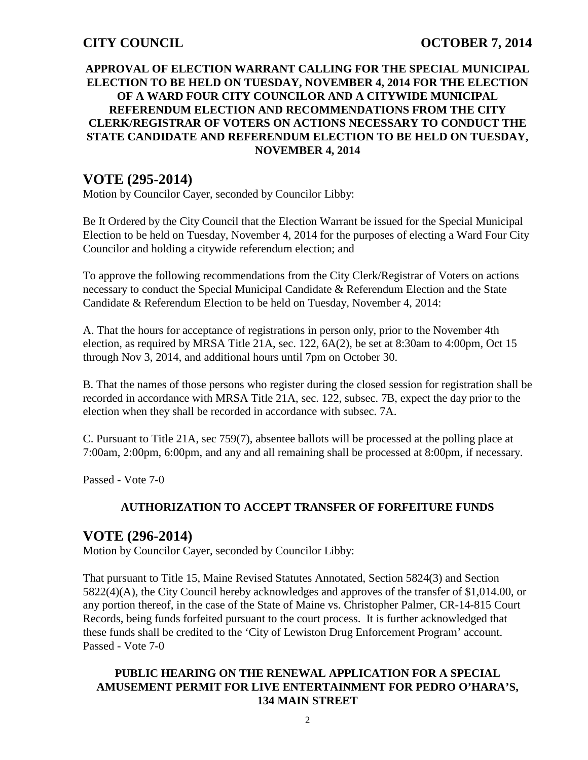### **APPROVAL OF ELECTION WARRANT CALLING FOR THE SPECIAL MUNICIPAL ELECTION TO BE HELD ON TUESDAY, NOVEMBER 4, 2014 FOR THE ELECTION OF A WARD FOUR CITY COUNCILOR AND A CITYWIDE MUNICIPAL REFERENDUM ELECTION AND RECOMMENDATIONS FROM THE CITY CLERK/REGISTRAR OF VOTERS ON ACTIONS NECESSARY TO CONDUCT THE STATE CANDIDATE AND REFERENDUM ELECTION TO BE HELD ON TUESDAY, NOVEMBER 4, 2014**

# **VOTE (295-2014)**

Motion by Councilor Cayer, seconded by Councilor Libby:

Be It Ordered by the City Council that the Election Warrant be issued for the Special Municipal Election to be held on Tuesday, November 4, 2014 for the purposes of electing a Ward Four City Councilor and holding a citywide referendum election; and

To approve the following recommendations from the City Clerk/Registrar of Voters on actions necessary to conduct the Special Municipal Candidate & Referendum Election and the State Candidate & Referendum Election to be held on Tuesday, November 4, 2014:

A. That the hours for acceptance of registrations in person only, prior to the November 4th election, as required by MRSA Title 21A, sec. 122, 6A(2), be set at 8:30am to 4:00pm, Oct 15 through Nov 3, 2014, and additional hours until 7pm on October 30.

B. That the names of those persons who register during the closed session for registration shall be recorded in accordance with MRSA Title 21A, sec. 122, subsec. 7B, expect the day prior to the election when they shall be recorded in accordance with subsec. 7A.

C. Pursuant to Title 21A, sec 759(7), absentee ballots will be processed at the polling place at 7:00am, 2:00pm, 6:00pm, and any and all remaining shall be processed at 8:00pm, if necessary.

Passed - Vote 7-0

## **AUTHORIZATION TO ACCEPT TRANSFER OF FORFEITURE FUNDS**

# **VOTE (296-2014)**

Motion by Councilor Cayer, seconded by Councilor Libby:

That pursuant to Title 15, Maine Revised Statutes Annotated, Section 5824(3) and Section 5822(4)(A), the City Council hereby acknowledges and approves of the transfer of \$1,014.00, or any portion thereof, in the case of the State of Maine vs. Christopher Palmer, CR-14-815 Court Records, being funds forfeited pursuant to the court process. It is further acknowledged that these funds shall be credited to the 'City of Lewiston Drug Enforcement Program' account. Passed - Vote 7-0

### **PUBLIC HEARING ON THE RENEWAL APPLICATION FOR A SPECIAL AMUSEMENT PERMIT FOR LIVE ENTERTAINMENT FOR PEDRO O'HARA'S, 134 MAIN STREET**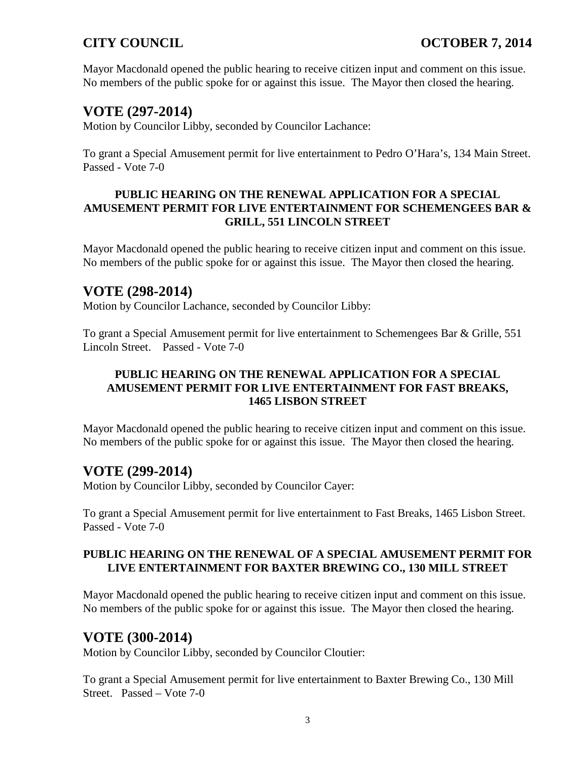Mayor Macdonald opened the public hearing to receive citizen input and comment on this issue. No members of the public spoke for or against this issue. The Mayor then closed the hearing.

# **VOTE (297-2014)**

Motion by Councilor Libby, seconded by Councilor Lachance:

To grant a Special Amusement permit for live entertainment to Pedro O'Hara's, 134 Main Street. Passed - Vote 7-0

### **PUBLIC HEARING ON THE RENEWAL APPLICATION FOR A SPECIAL AMUSEMENT PERMIT FOR LIVE ENTERTAINMENT FOR SCHEMENGEES BAR & GRILL, 551 LINCOLN STREET**

Mayor Macdonald opened the public hearing to receive citizen input and comment on this issue. No members of the public spoke for or against this issue. The Mayor then closed the hearing.

# **VOTE (298-2014)**

Motion by Councilor Lachance, seconded by Councilor Libby:

To grant a Special Amusement permit for live entertainment to Schemengees Bar & Grille, 551 Lincoln Street. Passed - Vote 7-0

## **PUBLIC HEARING ON THE RENEWAL APPLICATION FOR A SPECIAL AMUSEMENT PERMIT FOR LIVE ENTERTAINMENT FOR FAST BREAKS, 1465 LISBON STREET**

Mayor Macdonald opened the public hearing to receive citizen input and comment on this issue. No members of the public spoke for or against this issue. The Mayor then closed the hearing.

# **VOTE (299-2014)**

Motion by Councilor Libby, seconded by Councilor Cayer:

To grant a Special Amusement permit for live entertainment to Fast Breaks, 1465 Lisbon Street. Passed - Vote 7-0

## **PUBLIC HEARING ON THE RENEWAL OF A SPECIAL AMUSEMENT PERMIT FOR LIVE ENTERTAINMENT FOR BAXTER BREWING CO., 130 MILL STREET**

Mayor Macdonald opened the public hearing to receive citizen input and comment on this issue. No members of the public spoke for or against this issue. The Mayor then closed the hearing.

# **VOTE (300-2014)**

Motion by Councilor Libby, seconded by Councilor Cloutier:

To grant a Special Amusement permit for live entertainment to Baxter Brewing Co., 130 Mill Street. Passed – Vote 7-0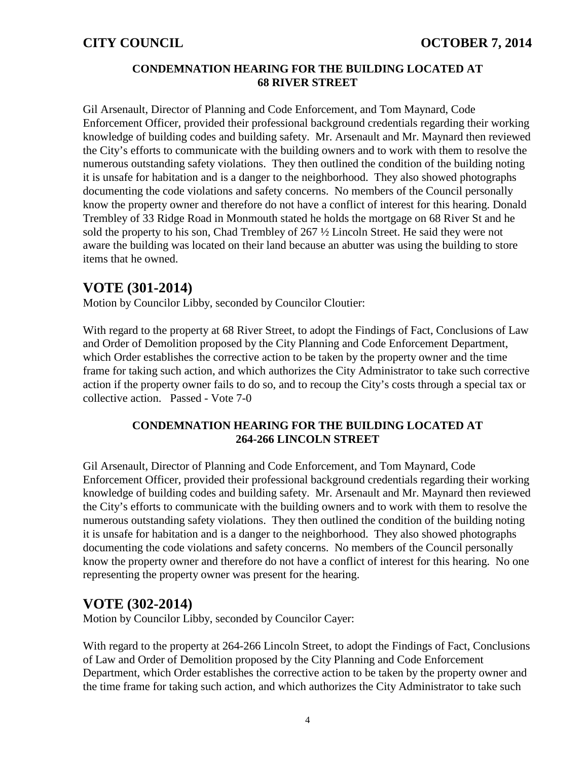### **CONDEMNATION HEARING FOR THE BUILDING LOCATED AT 68 RIVER STREET**

Gil Arsenault, Director of Planning and Code Enforcement, and Tom Maynard, Code Enforcement Officer, provided their professional background credentials regarding their working knowledge of building codes and building safety. Mr. Arsenault and Mr. Maynard then reviewed the City's efforts to communicate with the building owners and to work with them to resolve the numerous outstanding safety violations. They then outlined the condition of the building noting it is unsafe for habitation and is a danger to the neighborhood. They also showed photographs documenting the code violations and safety concerns. No members of the Council personally know the property owner and therefore do not have a conflict of interest for this hearing. Donald Trembley of 33 Ridge Road in Monmouth stated he holds the mortgage on 68 River St and he sold the property to his son, Chad Trembley of 267 ½ Lincoln Street. He said they were not aware the building was located on their land because an abutter was using the building to store items that he owned.

# **VOTE (301-2014)**

Motion by Councilor Libby, seconded by Councilor Cloutier:

With regard to the property at 68 River Street, to adopt the Findings of Fact, Conclusions of Law and Order of Demolition proposed by the City Planning and Code Enforcement Department, which Order establishes the corrective action to be taken by the property owner and the time frame for taking such action, and which authorizes the City Administrator to take such corrective action if the property owner fails to do so, and to recoup the City's costs through a special tax or collective action. Passed - Vote 7-0

## **CONDEMNATION HEARING FOR THE BUILDING LOCATED AT 264-266 LINCOLN STREET**

Gil Arsenault, Director of Planning and Code Enforcement, and Tom Maynard, Code Enforcement Officer, provided their professional background credentials regarding their working knowledge of building codes and building safety. Mr. Arsenault and Mr. Maynard then reviewed the City's efforts to communicate with the building owners and to work with them to resolve the numerous outstanding safety violations. They then outlined the condition of the building noting it is unsafe for habitation and is a danger to the neighborhood. They also showed photographs documenting the code violations and safety concerns. No members of the Council personally know the property owner and therefore do not have a conflict of interest for this hearing. No one representing the property owner was present for the hearing.

# **VOTE (302-2014)**

Motion by Councilor Libby, seconded by Councilor Cayer:

With regard to the property at 264-266 Lincoln Street, to adopt the Findings of Fact, Conclusions of Law and Order of Demolition proposed by the City Planning and Code Enforcement Department, which Order establishes the corrective action to be taken by the property owner and the time frame for taking such action, and which authorizes the City Administrator to take such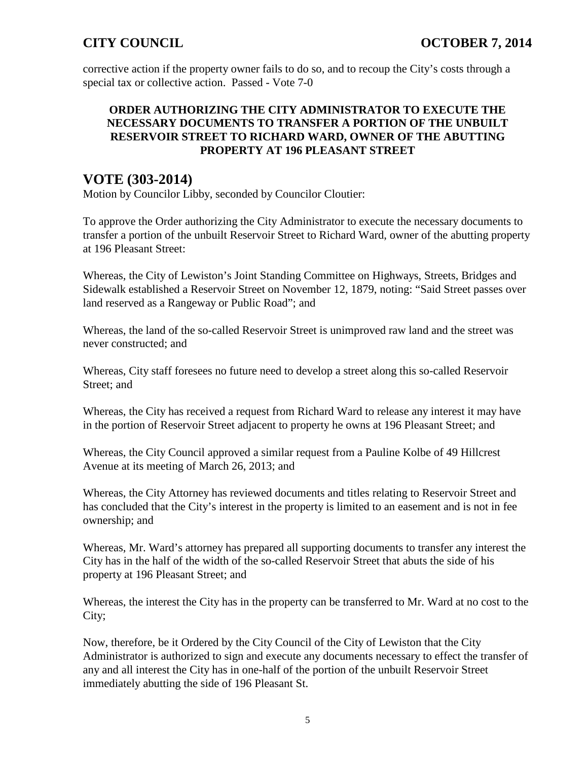corrective action if the property owner fails to do so, and to recoup the City's costs through a special tax or collective action. Passed - Vote 7-0

### **ORDER AUTHORIZING THE CITY ADMINISTRATOR TO EXECUTE THE NECESSARY DOCUMENTS TO TRANSFER A PORTION OF THE UNBUILT RESERVOIR STREET TO RICHARD WARD, OWNER OF THE ABUTTING PROPERTY AT 196 PLEASANT STREET**

# **VOTE (303-2014)**

Motion by Councilor Libby, seconded by Councilor Cloutier:

To approve the Order authorizing the City Administrator to execute the necessary documents to transfer a portion of the unbuilt Reservoir Street to Richard Ward, owner of the abutting property at 196 Pleasant Street:

Whereas, the City of Lewiston's Joint Standing Committee on Highways, Streets, Bridges and Sidewalk established a Reservoir Street on November 12, 1879, noting: "Said Street passes over land reserved as a Rangeway or Public Road"; and

Whereas, the land of the so-called Reservoir Street is unimproved raw land and the street was never constructed; and

Whereas, City staff foresees no future need to develop a street along this so-called Reservoir Street; and

Whereas, the City has received a request from Richard Ward to release any interest it may have in the portion of Reservoir Street adjacent to property he owns at 196 Pleasant Street; and

Whereas, the City Council approved a similar request from a Pauline Kolbe of 49 Hillcrest Avenue at its meeting of March 26, 2013; and

Whereas, the City Attorney has reviewed documents and titles relating to Reservoir Street and has concluded that the City's interest in the property is limited to an easement and is not in fee ownership; and

Whereas, Mr. Ward's attorney has prepared all supporting documents to transfer any interest the City has in the half of the width of the so-called Reservoir Street that abuts the side of his property at 196 Pleasant Street; and

Whereas, the interest the City has in the property can be transferred to Mr. Ward at no cost to the City;

Now, therefore, be it Ordered by the City Council of the City of Lewiston that the City Administrator is authorized to sign and execute any documents necessary to effect the transfer of any and all interest the City has in one-half of the portion of the unbuilt Reservoir Street immediately abutting the side of 196 Pleasant St.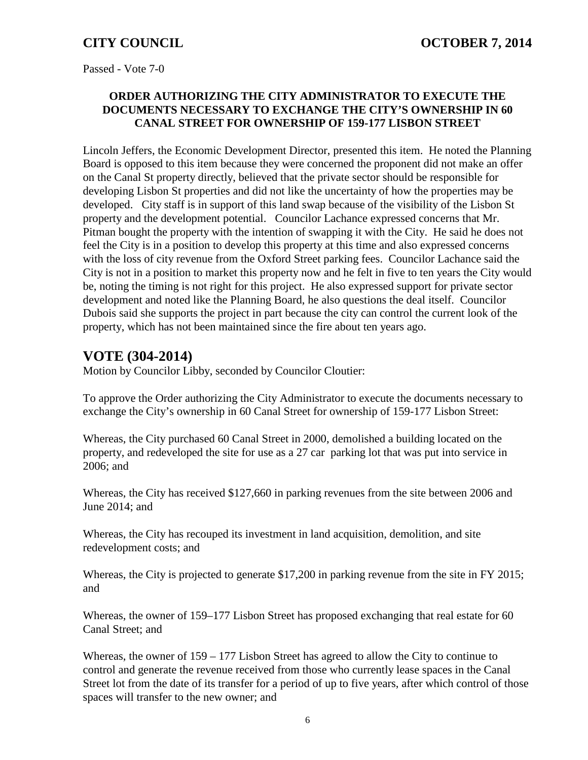Passed - Vote 7-0

## **ORDER AUTHORIZING THE CITY ADMINISTRATOR TO EXECUTE THE DOCUMENTS NECESSARY TO EXCHANGE THE CITY'S OWNERSHIP IN 60 CANAL STREET FOR OWNERSHIP OF 159-177 LISBON STREET**

Lincoln Jeffers, the Economic Development Director, presented this item. He noted the Planning Board is opposed to this item because they were concerned the proponent did not make an offer on the Canal St property directly, believed that the private sector should be responsible for developing Lisbon St properties and did not like the uncertainty of how the properties may be developed. City staff is in support of this land swap because of the visibility of the Lisbon St property and the development potential. Councilor Lachance expressed concerns that Mr. Pitman bought the property with the intention of swapping it with the City. He said he does not feel the City is in a position to develop this property at this time and also expressed concerns with the loss of city revenue from the Oxford Street parking fees. Councilor Lachance said the City is not in a position to market this property now and he felt in five to ten years the City would be, noting the timing is not right for this project. He also expressed support for private sector development and noted like the Planning Board, he also questions the deal itself. Councilor Dubois said she supports the project in part because the city can control the current look of the property, which has not been maintained since the fire about ten years ago.

# **VOTE (304-2014)**

Motion by Councilor Libby, seconded by Councilor Cloutier:

To approve the Order authorizing the City Administrator to execute the documents necessary to exchange the City's ownership in 60 Canal Street for ownership of 159-177 Lisbon Street:

Whereas, the City purchased 60 Canal Street in 2000, demolished a building located on the property, and redeveloped the site for use as a 27 car parking lot that was put into service in 2006; and

Whereas, the City has received \$127,660 in parking revenues from the site between 2006 and June 2014; and

Whereas, the City has recouped its investment in land acquisition, demolition, and site redevelopment costs; and

Whereas, the City is projected to generate \$17,200 in parking revenue from the site in FY 2015; and

Whereas, the owner of 159–177 Lisbon Street has proposed exchanging that real estate for 60 Canal Street; and

Whereas, the owner of 159 – 177 Lisbon Street has agreed to allow the City to continue to control and generate the revenue received from those who currently lease spaces in the Canal Street lot from the date of its transfer for a period of up to five years, after which control of those spaces will transfer to the new owner; and